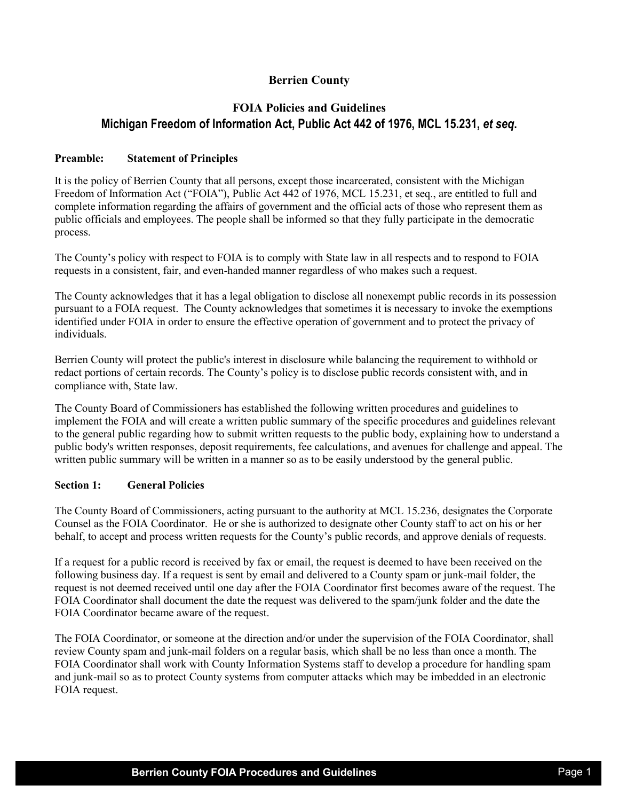## **Berrien County**

# **FOIA Policies and Guidelines Michigan Freedom of Information Act, Public Act 442 of 1976, MCL 15.231,** *et seq***.**

#### **Preamble: Statement of Principles**

It is the policy of Berrien County that all persons, except those incarcerated, consistent with the Michigan Freedom of Information Act ("FOIA"), Public Act 442 of 1976, MCL 15.231, et seq., are entitled to full and complete information regarding the affairs of government and the official acts of those who represent them as public officials and employees. The people shall be informed so that they fully participate in the democratic process.

The County's policy with respect to FOIA is to comply with State law in all respects and to respond to FOIA requests in a consistent, fair, and even-handed manner regardless of who makes such a request.

The County acknowledges that it has a legal obligation to disclose all nonexempt public records in its possession pursuant to a FOIA request. The County acknowledges that sometimes it is necessary to invoke the exemptions identified under FOIA in order to ensure the effective operation of government and to protect the privacy of individuals.

Berrien County will protect the public's interest in disclosure while balancing the requirement to withhold or redact portions of certain records. The County's policy is to disclose public records consistent with, and in compliance with, State law.

The County Board of Commissioners has established the following written procedures and guidelines to implement the FOIA and will create a written public summary of the specific procedures and guidelines relevant to the general public regarding how to submit written requests to the public body, explaining how to understand a public body's written responses, deposit requirements, fee calculations, and avenues for challenge and appeal. The written public summary will be written in a manner so as to be easily understood by the general public.

#### **Section 1: General Policies**

The County Board of Commissioners, acting pursuant to the authority at MCL 15.236, designates the Corporate Counsel as the FOIA Coordinator. He or she is authorized to designate other County staff to act on his or her behalf, to accept and process written requests for the County's public records, and approve denials of requests.

If a request for a public record is received by fax or email, the request is deemed to have been received on the following business day. If a request is sent by email and delivered to a County spam or junk-mail folder, the request is not deemed received until one day after the FOIA Coordinator first becomes aware of the request. The FOIA Coordinator shall document the date the request was delivered to the spam/junk folder and the date the FOIA Coordinator became aware of the request.

The FOIA Coordinator, or someone at the direction and/or under the supervision of the FOIA Coordinator, shall review County spam and junk-mail folders on a regular basis, which shall be no less than once a month. The FOIA Coordinator shall work with County Information Systems staff to develop a procedure for handling spam and junk-mail so as to protect County systems from computer attacks which may be imbedded in an electronic FOIA request.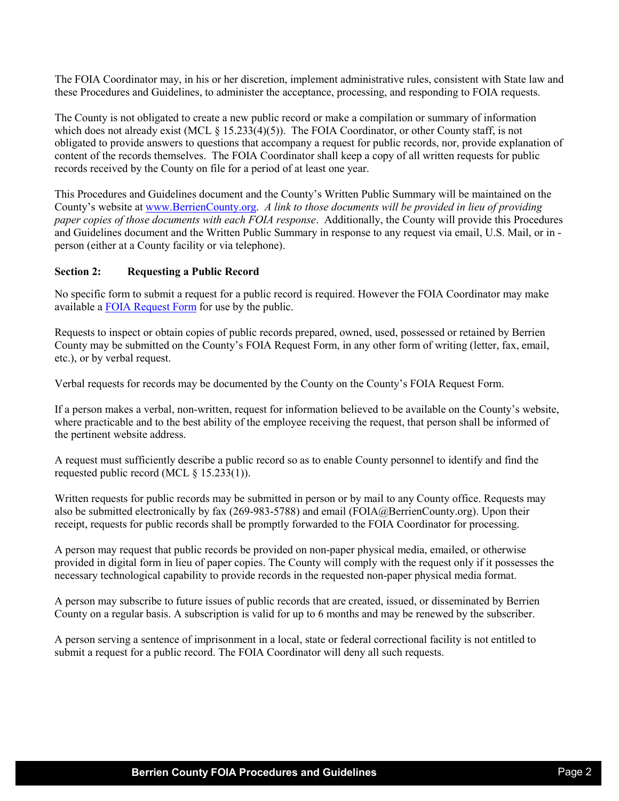The FOIA Coordinator may, in his or her discretion, implement administrative rules, consistent with State law and these Procedures and Guidelines, to administer the acceptance, processing, and responding to FOIA requests.

The County is not obligated to create a new public record or make a compilation or summary of information which does not already exist (MCL  $\S$  15.233(4)(5)). The FOIA Coordinator, or other County staff, is not obligated to provide answers to questions that accompany a request for public records, nor, provide explanation of content of the records themselves. The FOIA Coordinator shall keep a copy of all written requests for public records received by the County on file for a period of at least one year.

This Procedures and Guidelines document and the County's Written Public Summary will be maintained on the County's website at [www.BerrienCounty.org.](http://www.berriencounty.org/) *A link to those documents will be provided in lieu of providing paper copies of those documents with each FOIA response*. Additionally, the County will provide this Procedures and Guidelines document and the Written Public Summary in response to any request via email, U.S. Mail, or in person (either at a County facility or via telephone).

#### **Section 2: Requesting a Public Record**

No specific form to submit a request for a public record is required. However the FOIA Coordinator may make available a [FOIA Request Form](https://www.berriencounty.org/DocumentCenter/View/2559/FOIA-Request-Form) for use by the public.

Requests to inspect or obtain copies of public records prepared, owned, used, possessed or retained by Berrien County may be submitted on the County's FOIA Request Form, in any other form of writing (letter, fax, email, etc.), or by verbal request.

Verbal requests for records may be documented by the County on the County's FOIA Request Form.

If a person makes a verbal, non-written, request for information believed to be available on the County's website, where practicable and to the best ability of the employee receiving the request, that person shall be informed of the pertinent website address.

A request must sufficiently describe a public record so as to enable County personnel to identify and find the requested public record (MCL § 15.233(1)).

Written requests for public records may be submitted in person or by mail to any County office. Requests may also be submitted electronically by fax (269-983-5788) and email (FOIA@BerrienCounty.org). Upon their receipt, requests for public records shall be promptly forwarded to the FOIA Coordinator for processing.

A person may request that public records be provided on non-paper physical media, emailed, or otherwise provided in digital form in lieu of paper copies. The County will comply with the request only if it possesses the necessary technological capability to provide records in the requested non-paper physical media format.

A person may subscribe to future issues of public records that are created, issued, or disseminated by Berrien County on a regular basis. A subscription is valid for up to 6 months and may be renewed by the subscriber.

A person serving a sentence of imprisonment in a local, state or federal correctional facility is not entitled to submit a request for a public record. The FOIA Coordinator will deny all such requests.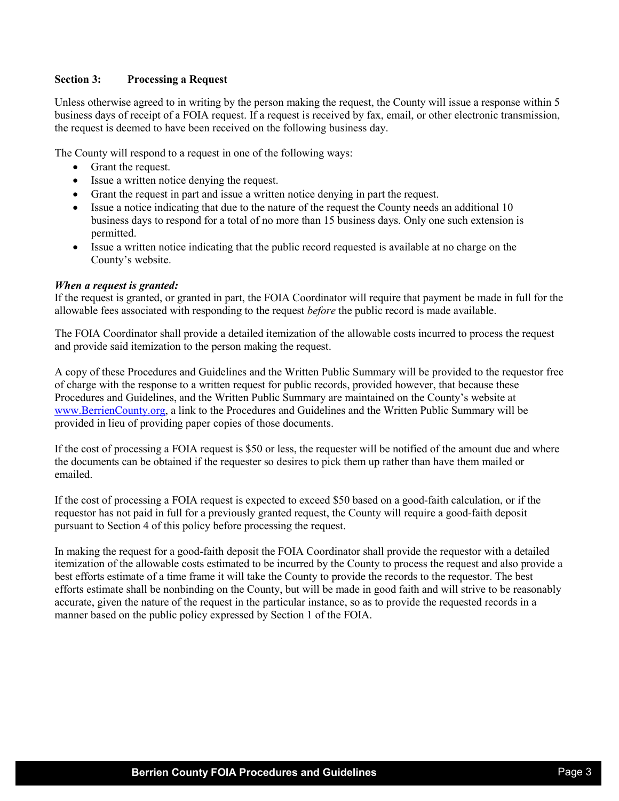#### **Section 3: Processing a Request**

Unless otherwise agreed to in writing by the person making the request, the County will issue a response within 5 business days of receipt of a FOIA request. If a request is received by fax, email, or other electronic transmission, the request is deemed to have been received on the following business day.

The County will respond to a request in one of the following ways:

- Grant the request.
- Issue a written notice denying the request.
- Grant the request in part and issue a written notice denying in part the request.
- Issue a notice indicating that due to the nature of the request the County needs an additional 10 business days to respond for a total of no more than 15 business days. Only one such extension is permitted.
- Issue a written notice indicating that the public record requested is available at no charge on the County's website.

#### *When a request is granted:*

If the request is granted, or granted in part, the FOIA Coordinator will require that payment be made in full for the allowable fees associated with responding to the request *before* the public record is made available.

The FOIA Coordinator shall provide a detailed itemization of the allowable costs incurred to process the request and provide said itemization to the person making the request.

A copy of these Procedures and Guidelines and the Written Public Summary will be provided to the requestor free of charge with the response to a written request for public records, provided however, that because these Procedures and Guidelines, and the Written Public Summary are maintained on the County's website at [www.BerrienCounty.org,](http://www.berriencounty.org/) a link to the Procedures and Guidelines and the Written Public Summary will be provided in lieu of providing paper copies of those documents.

If the cost of processing a FOIA request is \$50 or less, the requester will be notified of the amount due and where the documents can be obtained if the requester so desires to pick them up rather than have them mailed or emailed.

If the cost of processing a FOIA request is expected to exceed \$50 based on a good-faith calculation, or if the requestor has not paid in full for a previously granted request, the County will require a good-faith deposit pursuant to Section 4 of this policy before processing the request.

In making the request for a good-faith deposit the FOIA Coordinator shall provide the requestor with a detailed itemization of the allowable costs estimated to be incurred by the County to process the request and also provide a best efforts estimate of a time frame it will take the County to provide the records to the requestor. The best efforts estimate shall be nonbinding on the County, but will be made in good faith and will strive to be reasonably accurate, given the nature of the request in the particular instance, so as to provide the requested records in a manner based on the public policy expressed by Section 1 of the FOIA.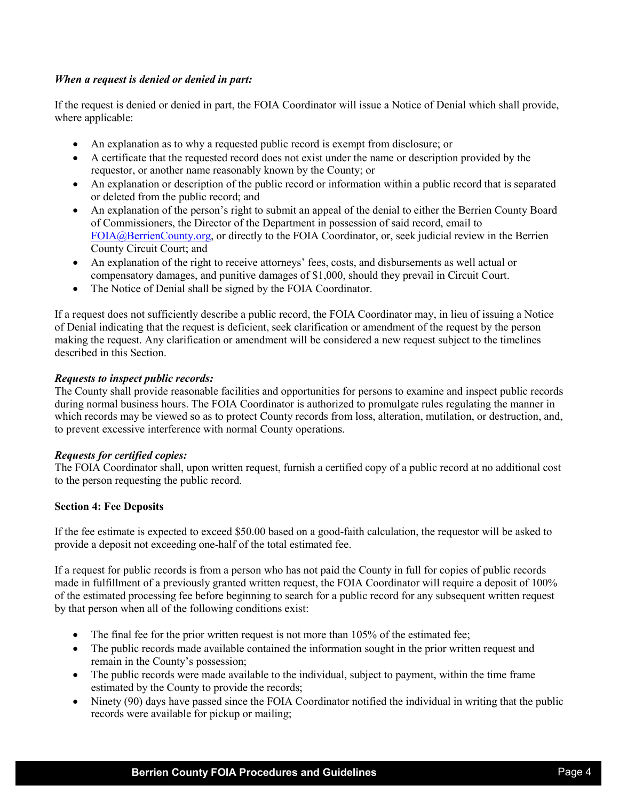#### *When a request is denied or denied in part:*

If the request is denied or denied in part, the FOIA Coordinator will issue a Notice of Denial which shall provide, where applicable:

- An explanation as to why a requested public record is exempt from disclosure; or
- A certificate that the requested record does not exist under the name or description provided by the requestor, or another name reasonably known by the County; or
- An explanation or description of the public record or information within a public record that is separated or deleted from the public record; and
- An explanation of the person's right to submit an appeal of the denial to either the Berrien County Board of Commissioners, the Director of the Department in possession of said record, email to [FOIA@BerrienCounty.org,](mailto:FOIA@BerrienCounty.org) or directly to the FOIA Coordinator, or, seek judicial review in the Berrien County Circuit Court; and
- An explanation of the right to receive attorneys' fees, costs, and disbursements as well actual or compensatory damages, and punitive damages of \$1,000, should they prevail in Circuit Court.
- The Notice of Denial shall be signed by the FOIA Coordinator.

If a request does not sufficiently describe a public record, the FOIA Coordinator may, in lieu of issuing a Notice of Denial indicating that the request is deficient, seek clarification or amendment of the request by the person making the request. Any clarification or amendment will be considered a new request subject to the timelines described in this Section.

#### *Requests to inspect public records:*

The County shall provide reasonable facilities and opportunities for persons to examine and inspect public records during normal business hours. The FOIA Coordinator is authorized to promulgate rules regulating the manner in which records may be viewed so as to protect County records from loss, alteration, mutilation, or destruction, and, to prevent excessive interference with normal County operations.

#### *Requests for certified copies:*

The FOIA Coordinator shall, upon written request, furnish a certified copy of a public record at no additional cost to the person requesting the public record.

#### **Section 4: Fee Deposits**

If the fee estimate is expected to exceed \$50.00 based on a good-faith calculation, the requestor will be asked to provide a deposit not exceeding one-half of the total estimated fee.

If a request for public records is from a person who has not paid the County in full for copies of public records made in fulfillment of a previously granted written request, the FOIA Coordinator will require a deposit of 100% of the estimated processing fee before beginning to search for a public record for any subsequent written request by that person when all of the following conditions exist:

- The final fee for the prior written request is not more than 105% of the estimated fee;
- The public records made available contained the information sought in the prior written request and remain in the County's possession;
- The public records were made available to the individual, subject to payment, within the time frame estimated by the County to provide the records;
- Ninety (90) days have passed since the FOIA Coordinator notified the individual in writing that the public records were available for pickup or mailing;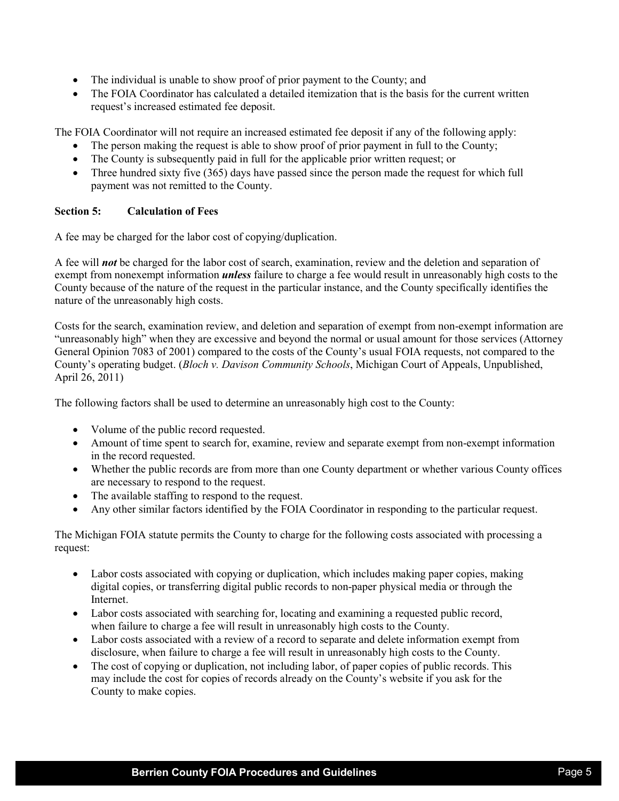- The individual is unable to show proof of prior payment to the County; and
- The FOIA Coordinator has calculated a detailed itemization that is the basis for the current written request's increased estimated fee deposit.

The FOIA Coordinator will not require an increased estimated fee deposit if any of the following apply:

- The person making the request is able to show proof of prior payment in full to the County;
- The County is subsequently paid in full for the applicable prior written request; or
- Three hundred sixty five (365) days have passed since the person made the request for which full payment was not remitted to the County.

## **Section 5: Calculation of Fees**

A fee may be charged for the labor cost of copying/duplication.

A fee will *not* be charged for the labor cost of search, examination, review and the deletion and separation of exempt from nonexempt information *unless* failure to charge a fee would result in unreasonably high costs to the County because of the nature of the request in the particular instance, and the County specifically identifies the nature of the unreasonably high costs.

Costs for the search, examination review, and deletion and separation of exempt from non-exempt information are "unreasonably high" when they are excessive and beyond the normal or usual amount for those services (Attorney General Opinion 7083 of 2001) compared to the costs of the County's usual FOIA requests, not compared to the County's operating budget. (*Bloch v. Davison Community Schools*, Michigan Court of Appeals, Unpublished, April 26, 2011)

The following factors shall be used to determine an unreasonably high cost to the County:

- Volume of the public record requested.
- Amount of time spent to search for, examine, review and separate exempt from non-exempt information in the record requested.
- Whether the public records are from more than one County department or whether various County offices are necessary to respond to the request.
- The available staffing to respond to the request.
- Any other similar factors identified by the FOIA Coordinator in responding to the particular request.

The Michigan FOIA statute permits the County to charge for the following costs associated with processing a request:

- Labor costs associated with copying or duplication, which includes making paper copies, making digital copies, or transferring digital public records to non-paper physical media or through the Internet.
- Labor costs associated with searching for, locating and examining a requested public record, when failure to charge a fee will result in unreasonably high costs to the County.
- Labor costs associated with a review of a record to separate and delete information exempt from disclosure, when failure to charge a fee will result in unreasonably high costs to the County.
- The cost of copying or duplication, not including labor, of paper copies of public records. This may include the cost for copies of records already on the County's website if you ask for the County to make copies.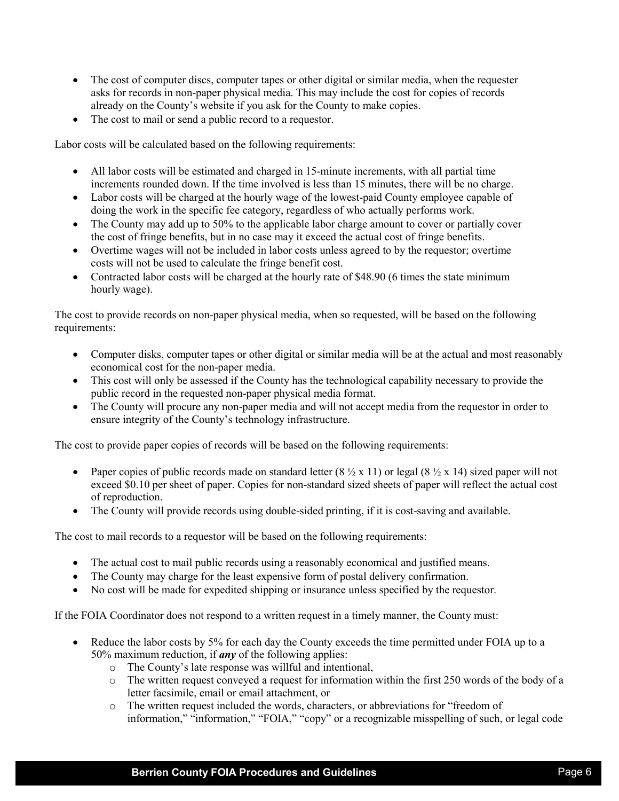- The cost of computer discs, computer tapes or other digital or similar media, when the requester asks for records in non-paper physical media. This may include the cost for copies of records already on the County's website if you ask for the County to make copies.
- The cost to mail or send a public record to a requestor.

Labor costs will be calculated based on the following requirements:

- All labor costs will be estimated and charged in 15-minute increments, with all partial time increments rounded down. If the time involved is less than 15 minutes, there will be no charge.
- Labor costs will be charged at the hourly wage of the lowest-paid County employee capable of doing the work in the specific fee category, regardless of who actually performs work.
- The County may add up to 50% to the applicable labor charge amount to cover or partially cover the cost of fringe benefits, but in no case may it exceed the actual cost of fringe benefits.
- Overtime wages will not be included in labor costs unless agreed to by the requestor; overtime costs will not be used to calculate the fringe benefit cost.
- Contracted labor costs will be charged at the hourly rate of \$48.90 (6 times the state minimum hourly wage).

The cost to provide records on non-paper physical media, when so requested, will be based on the following requirements:

- Computer disks, computer tapes or other digital or similar media will be at the actual and most reasonably economical cost for the non-paper media.
- This cost will only be assessed if the County has the technological capability necessary to provide the public record in the requested non-paper physical media format.
- The County will procure any non-paper media and will not accept media from the requestor in order to ensure integrity of the County's technology infrastructure.

The cost to provide paper copies of records will be based on the following requirements:

- Paper copies of public records made on standard letter  $(8 \frac{1}{2} \times 11)$  or legal  $(8 \frac{1}{2} \times 14)$  sized paper will not exceed \$0.10 per sheet of paper. Copies for non-standard sized sheets of paper will reflect the actual cost of reproduction.
- The County will provide records using double-sided printing, if it is cost-saving and available.

The cost to mail records to a requestor will be based on the following requirements:

- The actual cost to mail public records using a reasonably economical and justified means.
- The County may charge for the least expensive form of postal delivery confirmation.
- No cost will be made for expedited shipping or insurance unless specified by the requestor.

If the FOIA Coordinator does not respond to a written request in a timely manner, the County must:

- Reduce the labor costs by 5% for each day the County exceeds the time permitted under FOIA up to a 50% maximum reduction, if *any* of the following applies:
	- o The County's late response was willful and intentional,
	- $\circ$  The written request conveyed a request for information within the first 250 words of the body of a letter facsimile, email or email attachment, or
	- o The written request included the words, characters, or abbreviations for "freedom of information," "information," "FOIA," "copy" or a recognizable misspelling of such, or legal code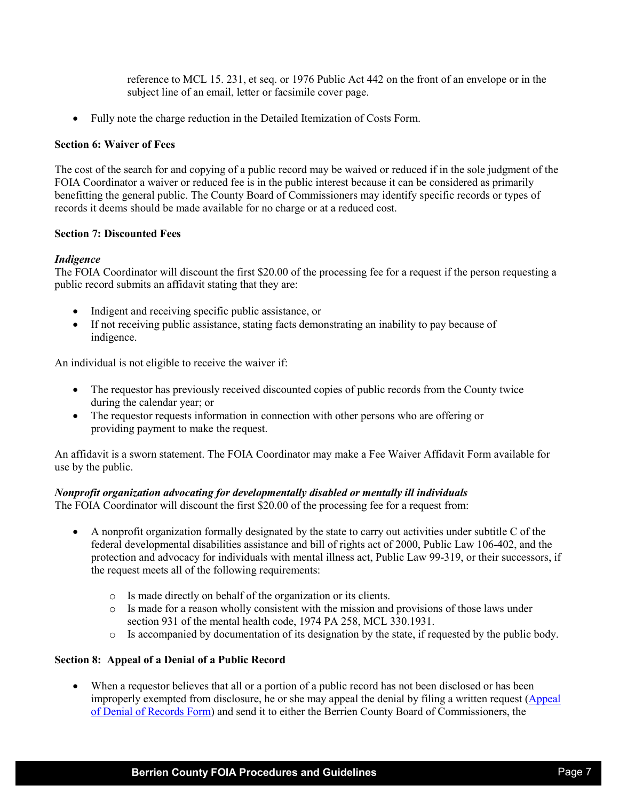reference to MCL 15. 231, et seq. or 1976 Public Act 442 on the front of an envelope or in the subject line of an email, letter or facsimile cover page.

• Fully note the charge reduction in the Detailed Itemization of Costs Form.

#### **Section 6: Waiver of Fees**

The cost of the search for and copying of a public record may be waived or reduced if in the sole judgment of the FOIA Coordinator a waiver or reduced fee is in the public interest because it can be considered as primarily benefitting the general public. The County Board of Commissioners may identify specific records or types of records it deems should be made available for no charge or at a reduced cost.

## **Section 7: Discounted Fees**

## *Indigence*

The FOIA Coordinator will discount the first \$20.00 of the processing fee for a request if the person requesting a public record submits an affidavit stating that they are:

- Indigent and receiving specific public assistance, or
- If not receiving public assistance, stating facts demonstrating an inability to pay because of indigence.

An individual is not eligible to receive the waiver if:

- The requestor has previously received discounted copies of public records from the County twice during the calendar year; or
- The requestor requests information in connection with other persons who are offering or providing payment to make the request.

An affidavit is a sworn statement. The FOIA Coordinator may make a Fee Waiver Affidavit Form available for use by the public.

#### *Nonprofit organization advocating for developmentally disabled or mentally ill individuals*

The FOIA Coordinator will discount the first \$20.00 of the processing fee for a request from:

- A nonprofit organization formally designated by the state to carry out activities under subtitle C of the federal developmental disabilities assistance and bill of rights act of 2000, Public Law 106-402, and the protection and advocacy for individuals with mental illness act, Public Law 99-319, or their successors, if the request meets all of the following requirements:
	- o Is made directly on behalf of the organization or its clients.
	- o Is made for a reason wholly consistent with the mission and provisions of those laws under section 931 of the mental health code, 1974 PA 258, MCL 330.1931.
	- o Is accompanied by documentation of its designation by the state, if requested by the public body.

## **Section 8: Appeal of a Denial of a Public Record**

When a requestor believes that all or a portion of a public record has not been disclosed or has been improperly exempted from disclosure, he or she may appeal the denial by filing a written request [\(Appeal](https://www.berriencounty.org/DocumentCenter/View/2557/Appeal-a-Denial-of-Records)  [of Denial of Records Form\)](https://www.berriencounty.org/DocumentCenter/View/2557/Appeal-a-Denial-of-Records) and send it to either the Berrien County Board of Commissioners, the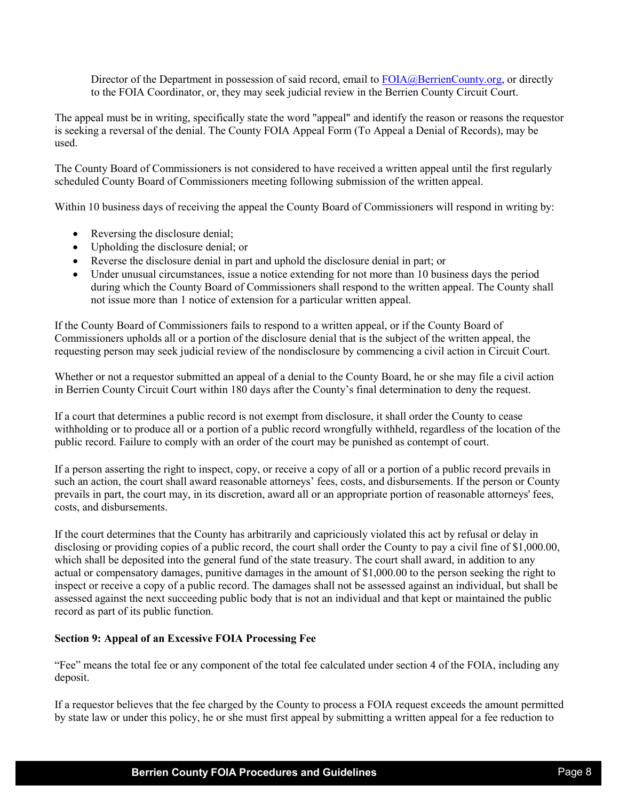Director of the Department in possession of said record, email to [FOIA@BerrienCounty.org,](mailto:FOIA@BerrienCounty.org) or directly to the FOIA Coordinator, or, they may seek judicial review in the Berrien County Circuit Court.

The appeal must be in writing, specifically state the word "appeal" and identify the reason or reasons the requestor is seeking a reversal of the denial. The County FOIA Appeal Form (To Appeal a Denial of Records), may be used.

The County Board of Commissioners is not considered to have received a written appeal until the first regularly scheduled County Board of Commissioners meeting following submission of the written appeal.

Within 10 business days of receiving the appeal the County Board of Commissioners will respond in writing by:

- Reversing the disclosure denial;
- Upholding the disclosure denial; or
- Reverse the disclosure denial in part and uphold the disclosure denial in part; or
- Under unusual circumstances, issue a notice extending for not more than 10 business days the period during which the County Board of Commissioners shall respond to the written appeal. The County shall not issue more than 1 notice of extension for a particular written appeal.

If the County Board of Commissioners fails to respond to a written appeal, or if the County Board of Commissioners upholds all or a portion of the disclosure denial that is the subject of the written appeal, the requesting person may seek judicial review of the nondisclosure by commencing a civil action in Circuit Court.

Whether or not a requestor submitted an appeal of a denial to the County Board, he or she may file a civil action in Berrien County Circuit Court within 180 days after the County's final determination to deny the request.

If a court that determines a public record is not exempt from disclosure, it shall order the County to cease withholding or to produce all or a portion of a public record wrongfully withheld, regardless of the location of the public record. Failure to comply with an order of the court may be punished as contempt of court.

If a person asserting the right to inspect, copy, or receive a copy of all or a portion of a public record prevails in such an action, the court shall award reasonable attorneys' fees, costs, and disbursements. If the person or County prevails in part, the court may, in its discretion, award all or an appropriate portion of reasonable attorneys' fees, costs, and disbursements.

If the court determines that the County has arbitrarily and capriciously violated this act by refusal or delay in disclosing or providing copies of a public record, the court shall order the County to pay a civil fine of \$1,000.00, which shall be deposited into the general fund of the state treasury. The court shall award, in addition to any actual or compensatory damages, punitive damages in the amount of \$1,000.00 to the person seeking the right to inspect or receive a copy of a public record. The damages shall not be assessed against an individual, but shall be assessed against the next succeeding public body that is not an individual and that kept or maintained the public record as part of its public function.

#### **Section 9: Appeal of an Excessive FOIA Processing Fee**

"Fee" means the total fee or any component of the total fee calculated under section 4 of the FOIA, including any deposit.

If a requestor believes that the fee charged by the County to process a FOIA request exceeds the amount permitted by state law or under this policy, he or she must first appeal by submitting a written appeal for a fee reduction to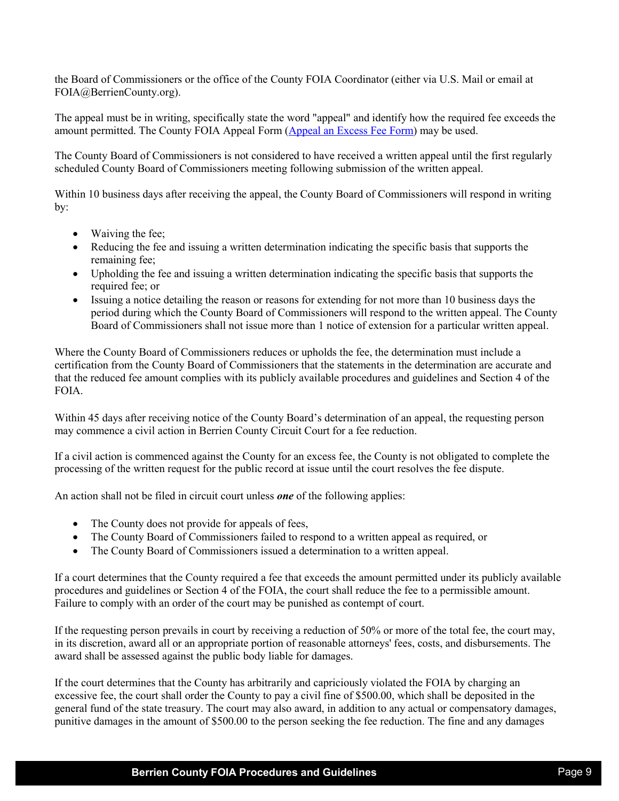the Board of Commissioners or the office of the County FOIA Coordinator (either via U.S. Mail or email at FOIA@BerrienCounty.org).

The appeal must be in writing, specifically state the word "appeal" and identify how the required fee exceeds the amount permitted. The County FOIA Appeal Form [\(Appeal an Excess Fee Form\)](https://www.berriencounty.org/DocumentCenter/View/2558/Appeal-an-Excess-Fee) may be used.

The County Board of Commissioners is not considered to have received a written appeal until the first regularly scheduled County Board of Commissioners meeting following submission of the written appeal.

Within 10 business days after receiving the appeal, the County Board of Commissioners will respond in writing by:

- Waiving the fee;
- Reducing the fee and issuing a written determination indicating the specific basis that supports the remaining fee;
- Upholding the fee and issuing a written determination indicating the specific basis that supports the required fee; or
- Issuing a notice detailing the reason or reasons for extending for not more than 10 business days the period during which the County Board of Commissioners will respond to the written appeal. The County Board of Commissioners shall not issue more than 1 notice of extension for a particular written appeal.

Where the County Board of Commissioners reduces or upholds the fee, the determination must include a certification from the County Board of Commissioners that the statements in the determination are accurate and that the reduced fee amount complies with its publicly available procedures and guidelines and Section 4 of the FOIA.

Within 45 days after receiving notice of the County Board's determination of an appeal, the requesting person may commence a civil action in Berrien County Circuit Court for a fee reduction.

If a civil action is commenced against the County for an excess fee, the County is not obligated to complete the processing of the written request for the public record at issue until the court resolves the fee dispute.

An action shall not be filed in circuit court unless *one* of the following applies:

- The County does not provide for appeals of fees,
- The County Board of Commissioners failed to respond to a written appeal as required, or
- The County Board of Commissioners issued a determination to a written appeal.

If a court determines that the County required a fee that exceeds the amount permitted under its publicly available procedures and guidelines or Section 4 of the FOIA, the court shall reduce the fee to a permissible amount. Failure to comply with an order of the court may be punished as contempt of court.

If the requesting person prevails in court by receiving a reduction of 50% or more of the total fee, the court may, in its discretion, award all or an appropriate portion of reasonable attorneys' fees, costs, and disbursements. The award shall be assessed against the public body liable for damages.

If the court determines that the County has arbitrarily and capriciously violated the FOIA by charging an excessive fee, the court shall order the County to pay a civil fine of \$500.00, which shall be deposited in the general fund of the state treasury. The court may also award, in addition to any actual or compensatory damages, punitive damages in the amount of \$500.00 to the person seeking the fee reduction. The fine and any damages